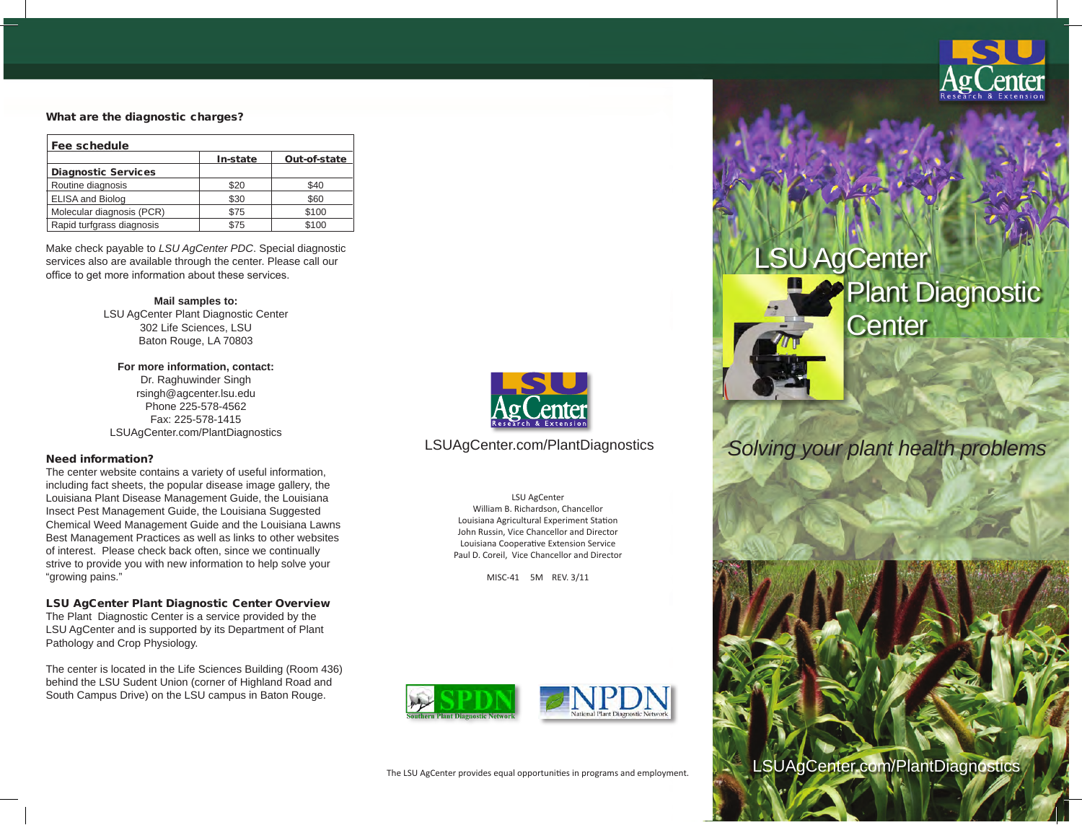

#### What are the diagnostic charges?

| Fee schedule               |          |              |
|----------------------------|----------|--------------|
|                            | In-state | Out-of-state |
| <b>Diagnostic Services</b> |          |              |
| Routine diagnosis          | \$20     | \$40         |
| <b>ELISA and Biolog</b>    | \$30     | \$60         |
| Molecular diagnosis (PCR)  | \$75     | \$100        |
| Rapid turfgrass diagnosis  | \$75     | \$100        |

Make check payable to *LSU AgCenter PDC*. Special diagnostic services also are available through the center. Please call our office to get more information about these services.

> **Mail samples to:** LSU AgCenter Plant Diagnostic Center 302 Life Sciences, LSU Baton Rouge, LA 70803

**For more information, contact:** Dr. Raghuwinder Singh rsingh@agcenter.lsu.edu Phone 225-578-4562 Fax: 225-578-1415 LSUAgCenter.com/PlantDiagnostics

#### Need information?

The center website contains a variety of useful information, including fact sheets, the popular disease image gallery, the Louisiana Plant Disease Management Guide, the Louisiana Insect Pest Management Guide, the Louisiana Suggested Chemical Weed Management Guide and the Louisiana Lawns Best Management Practices as well as links to other websites of interest. Please check back often, since we continually strive to provide you with new information to help solve your "growing pains."

#### LSU AgCenter Plant Diagnostic Center Overview

The Plant Diagnostic Center is a service provided by the LSU AgCenter and is supported by its Department of Plant Pathology and Crop Physiology.

The center is located in the Life Sciences Building (Room 436) behind the LSU Sudent Union (corner of Highland Road and South Campus Drive) on the LSU campus in Baton Rouge.



LSU AgCenter William B. Richardson, Chancellor Louisiana Agricultural Experiment Station John Russin, Vice Chancellor and Director Louisiana Cooperative Extension Service Paul D. Coreil, Vice Chancellor and Director

MISC-41 5M REV. 3/11







# LSUAgCenter.com/PlantDiagnostics *Solving your plant health problems*